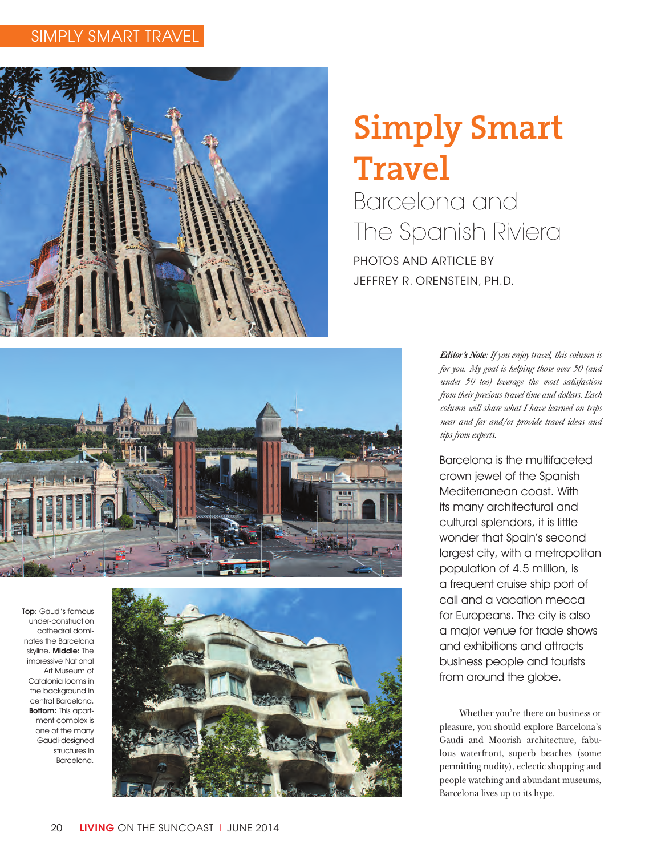### Simply Smart Travel



# **Simply Smart Travel**

# Barcelona and The Spanish Riviera

PHOTOS AND ARTICLE B Y JEFFRE Y R. ORENSTEIN, PH.D.



Top: Gaudi's famous under-construction cathedral domi nates the Barcelona skyline. Middle: The impressive National Art Museum of Catalonia looms in the background in central Barcelona. **Bottom:** This apartment complex is one of the many Gaudi-designed structures in Barcelona.



*Editor's Note: If you enjoy travel, this column is for you. My goal is helping those over 50 (and under 50 too) leverage the most satisfaction from their precious travel time and dollars. Each column will share what I have learned on trips near and far and/or provide travel ideas and tips from experts.*

Barcelona is the multifaceted crown jewel of the Spanish Mediterranean coast. With its many architectural and cultural splendors, it is little wonder that Spain's second largest city, with a metropolitan population of 4.5 million, is a frequent cruise ship port of call and a vacation mecca for Europeans. The city is also a major venue for trade shows and exhibitions and attracts business people and tourists from around the globe.

Whether you're there on business or pleasure, you should explore Barcelona's Gaudi and Moorish architecture, fabu lous waterfront, superb beaches (some permitting nudity), eclectic shopping and people watching and abundant museums, Barcelona lives up to its hype.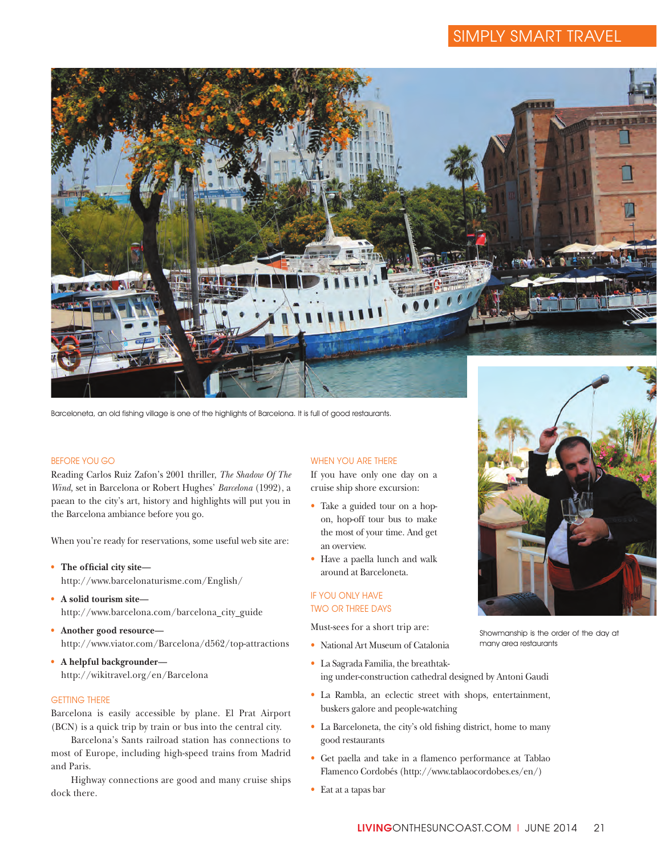## Simply Smart Travel



Barceloneta, an old fishing village is one of the highlights of Barcelona. It is full of good restaurants.

#### Before You Go

Reading Carlos Ruiz Zafon's 2001 thriller, *The Shadow Of The Wind,* set in Barcelona or Robert Hughes' *Barcelona* (1992), a paean to the city's art, history and highlights will put you in the Barcelona ambiance before you go.

When you're ready for reservations, some useful web site are:

- **• The official city site** <http://www.barcelonaturisme.com/English/>
- **• A solid tourism site** [http://www.barcelona.com/barcelona\\_city\\_guide](http://www.barcelona.com/barcelona_city_guide)
- **• Another good resource** <http://www.viator.com/Barcelona/d562/top-attractions>
- **• A helpful backgrounder** <http://wikitravel.org/en/Barcelona>

#### **GETTING THERE**

Barcelona is easily accessible by plane. El Prat Airport (BCN) is a quick trip by train or bus into the central city.

Barcelona's Sants railroad station has connections to most of Europe, including high-speed trains from Madrid and Paris.

Highway connections are good and many cruise ships dock there.

#### WHEN YOU ARE THERE

If you have only one day on a cruise ship shore excursion:

- Take a guided tour on a hopon, hop-off tour bus to make the most of your time. And get an overview.
- Have a paella lunch and walk around at Barceloneta.

#### If You Only Have Two or Three Days

Must-sees for a short trip are:

- • National Art Museum of Catalonia
- • La Sagrada Familia, the breathtak-

ing under-construction cathedral designed by Antoni Gaudi

- • La Rambla, an eclectic street with shops, entertainment, buskers galore and people-watching
- • La Barceloneta, the city's old fishing district, home to many good restaurants
- • Get paella and take in a flamenco performance at Tablao Flamenco Cordobés [\(http://www.tablaocordobes.es/en/\)](http://www.tablaocordobes.es/en/)
- • Eat at a tapas bar



Showmanship is the order of the day at many area restaurants